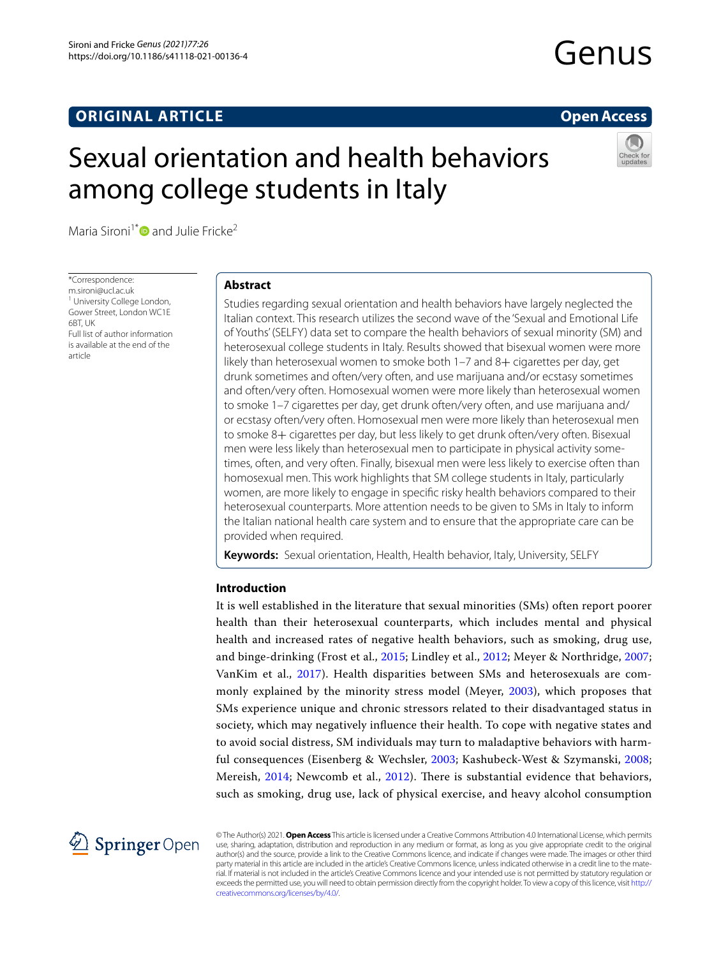# **ORIGINAL ARTICLE**

# **Open Access**

# Sexual orientation and health behaviors among college students in Italy



Maria Sironi<sup>1[\\*](http://orcid.org/0000-0002-8005-7255)</sup> and Julie Fricke<sup>2</sup>

\*Correspondence: m.sironi@ucl.ac.uk <sup>1</sup> University College London, Gower Street, London WC1E 6BT, UK Full list of author information is available at the end of the article

# **Abstract**

Studies regarding sexual orientation and health behaviors have largely neglected the Italian context. This research utilizes the second wave of the 'Sexual and Emotional Life of Youths' (SELFY) data set to compare the health behaviors of sexual minority (SM) and heterosexual college students in Italy. Results showed that bisexual women were more likely than heterosexual women to smoke both 1-7 and 8+ cigarettes per day, get drunk sometimes and often/very often, and use marijuana and/or ecstasy sometimes and often/very often. Homosexual women were more likely than heterosexual women to smoke 1–7 cigarettes per day, get drunk often/very often, and use marijuana and/ or ecstasy often/very often. Homosexual men were more likely than heterosexual men to smoke 8+ cigarettes per day, but less likely to get drunk often/very often. Bisexual men were less likely than heterosexual men to participate in physical activity sometimes, often, and very often. Finally, bisexual men were less likely to exercise often than homosexual men. This work highlights that SM college students in Italy, particularly women, are more likely to engage in specifc risky health behaviors compared to their heterosexual counterparts. More attention needs to be given to SMs in Italy to inform the Italian national health care system and to ensure that the appropriate care can be provided when required.

**Keywords:** Sexual orientation, Health, Health behavior, Italy, University, SELFY

### **Introduction**

It is well established in the literature that sexual minorities (SMs) often report poorer health than their heterosexual counterparts, which includes mental and physical health and increased rates of negative health behaviors, such as smoking, drug use, and binge-drinking (Frost et al., [2015;](#page-13-0) Lindley et al., [2012](#page-13-1); Meyer & Northridge, [2007](#page-13-2); VanKim et al., [2017\)](#page-13-3). Health disparities between SMs and heterosexuals are commonly explained by the minority stress model (Meyer, [2003\)](#page-13-4), which proposes that SMs experience unique and chronic stressors related to their disadvantaged status in society, which may negatively infuence their health. To cope with negative states and to avoid social distress, SM individuals may turn to maladaptive behaviors with harmful consequences (Eisenberg & Wechsler, [2003](#page-13-5); Kashubeck-West & Szymanski, [2008](#page-13-6); Mereish, [2014](#page-13-7); Newcomb et al., [2012\)](#page-13-8). There is substantial evidence that behaviors, such as smoking, drug use, lack of physical exercise, and heavy alcohol consumption



© The Author(s) 2021. **Open Access** This article is licensed under a Creative Commons Attribution 4.0 International License, which permits use, sharing, adaptation, distribution and reproduction in any medium or format, as long as you give appropriate credit to the original author(s) and the source, provide a link to the Creative Commons licence, and indicate if changes were made. The images or other third party material in this article are included in the article's Creative Commons licence, unless indicated otherwise in a credit line to the material. If material is not included in the article's Creative Commons licence and your intended use is not permitted by statutory regulation or exceeds the permitted use, you will need to obtain permission directly from the copyright holder. To view a copy of this licence, visit [http://](http://creativecommons.org/licenses/by/4.0/) [creativecommons.org/licenses/by/4.0/.](http://creativecommons.org/licenses/by/4.0/)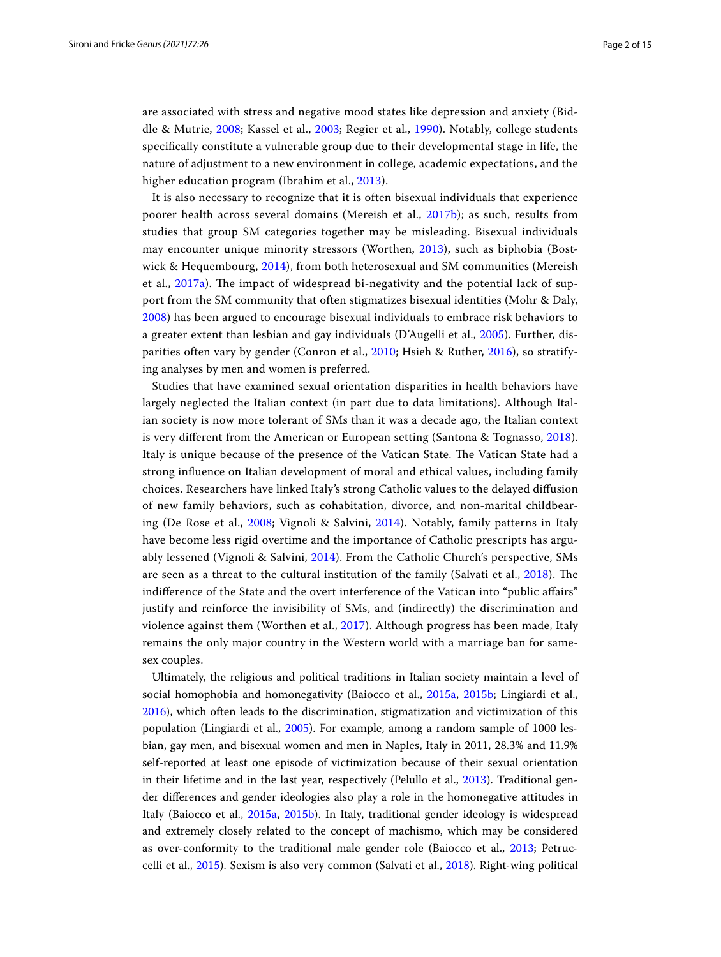are associated with stress and negative mood states like depression and anxiety (Biddle & Mutrie, [2008;](#page-12-0) Kassel et al., [2003](#page-13-9); Regier et al., [1990\)](#page-13-10). Notably, college students specifcally constitute a vulnerable group due to their developmental stage in life, the nature of adjustment to a new environment in college, academic expectations, and the higher education program (Ibrahim et al., [2013](#page-13-11)).

It is also necessary to recognize that it is often bisexual individuals that experience poorer health across several domains (Mereish et al., [2017b\)](#page-13-12); as such, results from studies that group SM categories together may be misleading. Bisexual individuals may encounter unique minority stressors (Worthen, [2013\)](#page-14-0), such as biphobia (Bost-wick & Hequembourg, [2014](#page-12-1)), from both heterosexual and SM communities (Mereish et al.,  $2017a$ ). The impact of widespread bi-negativity and the potential lack of support from the SM community that often stigmatizes bisexual identities (Mohr & Daly, [2008\)](#page-13-14) has been argued to encourage bisexual individuals to embrace risk behaviors to a greater extent than lesbian and gay individuals (D'Augelli et al., [2005\)](#page-12-2). Further, disparities often vary by gender (Conron et al., [2010](#page-12-3); Hsieh & Ruther, [2016](#page-13-15)), so stratifying analyses by men and women is preferred.

Studies that have examined sexual orientation disparities in health behaviors have largely neglected the Italian context (in part due to data limitations). Although Italian society is now more tolerant of SMs than it was a decade ago, the Italian context is very diferent from the American or European setting (Santona & Tognasso, [2018](#page-13-16)). Italy is unique because of the presence of the Vatican State. The Vatican State had a strong infuence on Italian development of moral and ethical values, including family choices. Researchers have linked Italy's strong Catholic values to the delayed difusion of new family behaviors, such as cohabitation, divorce, and non-marital childbearing (De Rose et al., [2008;](#page-13-17) Vignoli & Salvini, [2014\)](#page-13-18). Notably, family patterns in Italy have become less rigid overtime and the importance of Catholic prescripts has arguably lessened (Vignoli & Salvini, [2014](#page-13-18)). From the Catholic Church's perspective, SMs are seen as a threat to the cultural institution of the family (Salvati et al., [2018](#page-13-19)). The indiference of the State and the overt interference of the Vatican into "public afairs" justify and reinforce the invisibility of SMs, and (indirectly) the discrimination and violence against them (Worthen et al., [2017\)](#page-14-1). Although progress has been made, Italy remains the only major country in the Western world with a marriage ban for samesex couples.

Ultimately, the religious and political traditions in Italian society maintain a level of social homophobia and homonegativity (Baiocco et al., [2015a](#page-12-4), [2015b;](#page-12-5) Lingiardi et al., [2016](#page-13-20)), which often leads to the discrimination, stigmatization and victimization of this population (Lingiardi et al., [2005](#page-13-21)). For example, among a random sample of 1000 lesbian, gay men, and bisexual women and men in Naples, Italy in 2011, 28.3% and 11.9% self-reported at least one episode of victimization because of their sexual orientation in their lifetime and in the last year, respectively (Pelullo et al., [2013](#page-13-22)). Traditional gender diferences and gender ideologies also play a role in the homonegative attitudes in Italy (Baiocco et al., [2015a](#page-12-4), [2015b\)](#page-12-5). In Italy, traditional gender ideology is widespread and extremely closely related to the concept of machismo, which may be considered as over-conformity to the traditional male gender role (Baiocco et al., [2013](#page-12-6); Petruccelli et al., [2015\)](#page-13-23). Sexism is also very common (Salvati et al., [2018](#page-13-19)). Right-wing political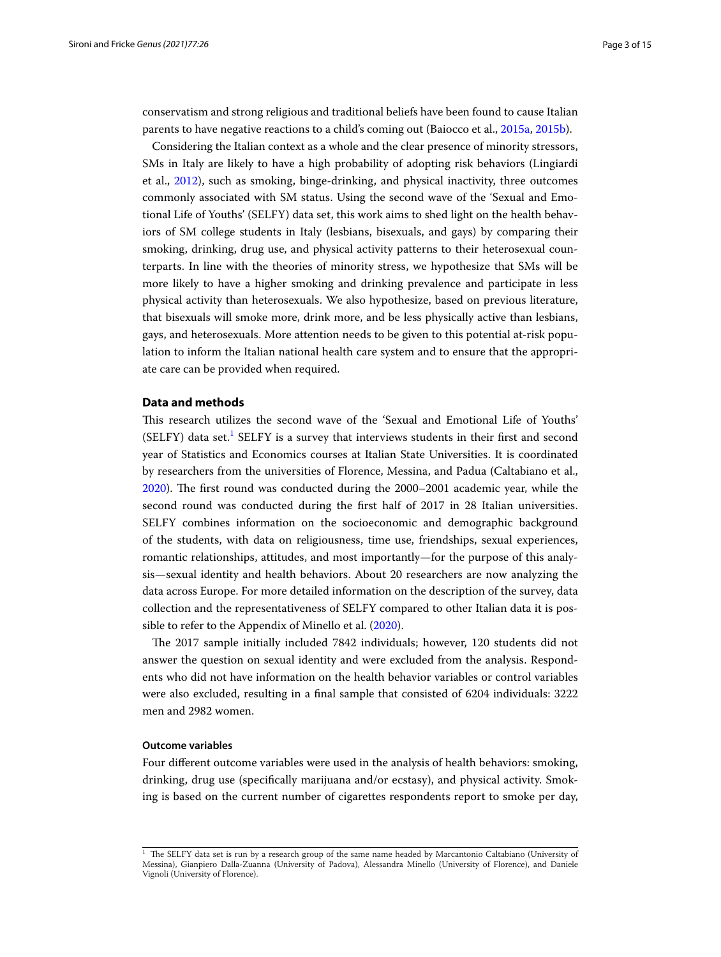conservatism and strong religious and traditional beliefs have been found to cause Italian parents to have negative reactions to a child's coming out (Baiocco et al., [2015a](#page-12-4), [2015b](#page-12-5)).

Considering the Italian context as a whole and the clear presence of minority stressors, SMs in Italy are likely to have a high probability of adopting risk behaviors (Lingiardi et al., [2012\)](#page-13-24), such as smoking, binge-drinking, and physical inactivity, three outcomes commonly associated with SM status. Using the second wave of the 'Sexual and Emotional Life of Youths' (SELFY) data set, this work aims to shed light on the health behaviors of SM college students in Italy (lesbians, bisexuals, and gays) by comparing their smoking, drinking, drug use, and physical activity patterns to their heterosexual counterparts. In line with the theories of minority stress, we hypothesize that SMs will be more likely to have a higher smoking and drinking prevalence and participate in less physical activity than heterosexuals. We also hypothesize, based on previous literature, that bisexuals will smoke more, drink more, and be less physically active than lesbians, gays, and heterosexuals. More attention needs to be given to this potential at-risk population to inform the Italian national health care system and to ensure that the appropriate care can be provided when required.

## **Data and methods**

Tis research utilizes the second wave of the 'Sexual and Emotional Life of Youths' (SELFY) data set.<sup>[1](#page-2-0)</sup> SELFY is a survey that interviews students in their first and second year of Statistics and Economics courses at Italian State Universities. It is coordinated by researchers from the universities of Florence, Messina, and Padua (Caltabiano et al., [2020](#page-12-7)). The first round was conducted during the 2000–2001 academic year, while the second round was conducted during the frst half of 2017 in 28 Italian universities. SELFY combines information on the socioeconomic and demographic background of the students, with data on religiousness, time use, friendships, sexual experiences, romantic relationships, attitudes, and most importantly—for the purpose of this analysis—sexual identity and health behaviors. About 20 researchers are now analyzing the data across Europe. For more detailed information on the description of the survey, data collection and the representativeness of SELFY compared to other Italian data it is possible to refer to the Appendix of Minello et al. ([2020](#page-13-25)).

The 2017 sample initially included 7842 individuals; however, 120 students did not answer the question on sexual identity and were excluded from the analysis. Respondents who did not have information on the health behavior variables or control variables were also excluded, resulting in a fnal sample that consisted of 6204 individuals: 3222 men and 2982 women.

#### **Outcome variables**

Four diferent outcome variables were used in the analysis of health behaviors: smoking, drinking, drug use (specifcally marijuana and/or ecstasy), and physical activity. Smoking is based on the current number of cigarettes respondents report to smoke per day,

<span id="page-2-0"></span> $1$  The SELFY data set is run by a research group of the same name headed by Marcantonio Caltabiano (University of Messina), Gianpiero Dalla-Zuanna (University of Padova), Alessandra Minello (University of Florence), and Daniele Vignoli (University of Florence).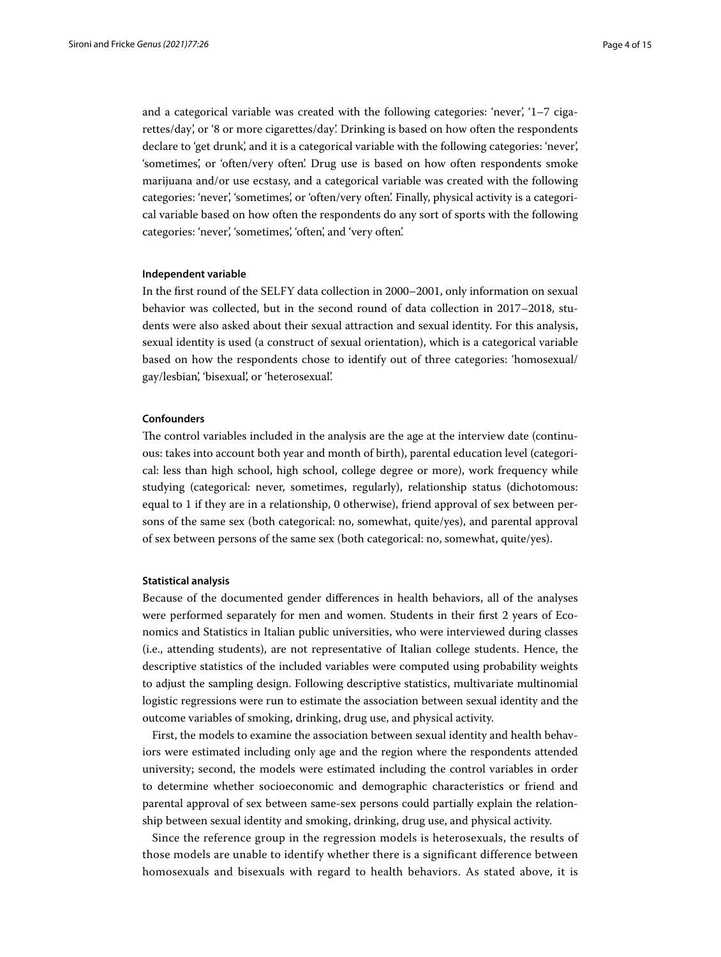and a categorical variable was created with the following categories: 'never', '1–7 cigarettes/day', or '8 or more cigarettes/day'. Drinking is based on how often the respondents declare to 'get drunk', and it is a categorical variable with the following categories: 'never', 'sometimes', or 'often/very often'. Drug use is based on how often respondents smoke marijuana and/or use ecstasy, and a categorical variable was created with the following categories: 'never', 'sometimes', or 'often/very often'. Finally, physical activity is a categorical variable based on how often the respondents do any sort of sports with the following categories: 'never', 'sometimes', 'often', and 'very often'.

#### **Independent variable**

In the frst round of the SELFY data collection in 2000–2001, only information on sexual behavior was collected, but in the second round of data collection in 2017–2018, students were also asked about their sexual attraction and sexual identity. For this analysis, sexual identity is used (a construct of sexual orientation), which is a categorical variable based on how the respondents chose to identify out of three categories: 'homosexual/ gay/lesbian', 'bisexual', or 'heterosexual'.

#### **Confounders**

The control variables included in the analysis are the age at the interview date (continuous: takes into account both year and month of birth), parental education level (categorical: less than high school, high school, college degree or more), work frequency while studying (categorical: never, sometimes, regularly), relationship status (dichotomous: equal to 1 if they are in a relationship, 0 otherwise), friend approval of sex between persons of the same sex (both categorical: no, somewhat, quite/yes), and parental approval of sex between persons of the same sex (both categorical: no, somewhat, quite/yes).

#### **Statistical analysis**

Because of the documented gender diferences in health behaviors, all of the analyses were performed separately for men and women. Students in their frst 2 years of Economics and Statistics in Italian public universities, who were interviewed during classes (i.e., attending students), are not representative of Italian college students. Hence, the descriptive statistics of the included variables were computed using probability weights to adjust the sampling design. Following descriptive statistics, multivariate multinomial logistic regressions were run to estimate the association between sexual identity and the outcome variables of smoking, drinking, drug use, and physical activity.

First, the models to examine the association between sexual identity and health behaviors were estimated including only age and the region where the respondents attended university; second, the models were estimated including the control variables in order to determine whether socioeconomic and demographic characteristics or friend and parental approval of sex between same-sex persons could partially explain the relationship between sexual identity and smoking, drinking, drug use, and physical activity.

Since the reference group in the regression models is heterosexuals, the results of those models are unable to identify whether there is a significant difference between homosexuals and bisexuals with regard to health behaviors. As stated above, it is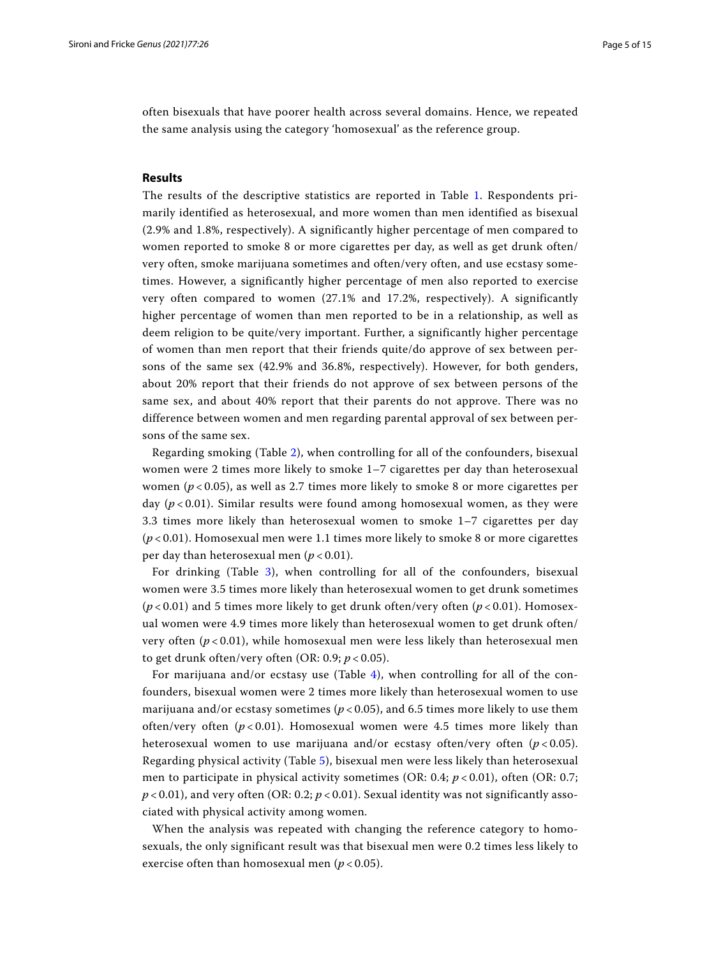often bisexuals that have poorer health across several domains. Hence, we repeated the same analysis using the category 'homosexual' as the reference group.

#### **Results**

The results of the descriptive statistics are reported in Table [1](#page-5-0). Respondents primarily identified as heterosexual, and more women than men identified as bisexual (2.9% and 1.8%, respectively). A significantly higher percentage of men compared to women reported to smoke 8 or more cigarettes per day, as well as get drunk often/ very often, smoke marijuana sometimes and often/very often, and use ecstasy sometimes. However, a significantly higher percentage of men also reported to exercise very often compared to women (27.1% and 17.2%, respectively). A significantly higher percentage of women than men reported to be in a relationship, as well as deem religion to be quite/very important. Further, a significantly higher percentage of women than men report that their friends quite/do approve of sex between persons of the same sex (42.9% and 36.8%, respectively). However, for both genders, about 20% report that their friends do not approve of sex between persons of the same sex, and about 40% report that their parents do not approve. There was no difference between women and men regarding parental approval of sex between persons of the same sex.

Regarding smoking (Table [2](#page-6-0)), when controlling for all of the confounders, bisexual women were 2 times more likely to smoke 1–7 cigarettes per day than heterosexual women ( $p < 0.05$ ), as well as 2.7 times more likely to smoke 8 or more cigarettes per day (*p* < 0.01). Similar results were found among homosexual women, as they were 3.3 times more likely than heterosexual women to smoke 1–7 cigarettes per day (*p* < 0.01). Homosexual men were 1.1 times more likely to smoke 8 or more cigarettes per day than heterosexual men (*p* < 0.01).

For drinking (Table [3](#page-7-0)), when controlling for all of the confounders, bisexual women were 3.5 times more likely than heterosexual women to get drunk sometimes  $(p<0.01)$  and 5 times more likely to get drunk often/very often  $(p<0.01)$ . Homosexual women were 4.9 times more likely than heterosexual women to get drunk often/ very often (*p* < 0.01), while homosexual men were less likely than heterosexual men to get drunk often/very often (OR: 0.9; *p* < 0.05).

For marijuana and/or ecstasy use (Table  $4$ ), when controlling for all of the confounders, bisexual women were 2 times more likely than heterosexual women to use marijuana and/or ecstasy sometimes ( $p < 0.05$ ), and 6.5 times more likely to use them often/very often  $(p<0.01)$ . Homosexual women were 4.5 times more likely than heterosexual women to use marijuana and/or ecstasy often/very often  $(p < 0.05)$ . Regarding physical activity (Table [5\)](#page-9-0), bisexual men were less likely than heterosexual men to participate in physical activity sometimes (OR: 0.4;  $p < 0.01$ ), often (OR: 0.7;  $p < 0.01$ ), and very often (OR: 0.2;  $p < 0.01$ ). Sexual identity was not significantly associated with physical activity among women.

When the analysis was repeated with changing the reference category to homosexuals, the only significant result was that bisexual men were 0.2 times less likely to exercise often than homosexual men (*p* < 0.05).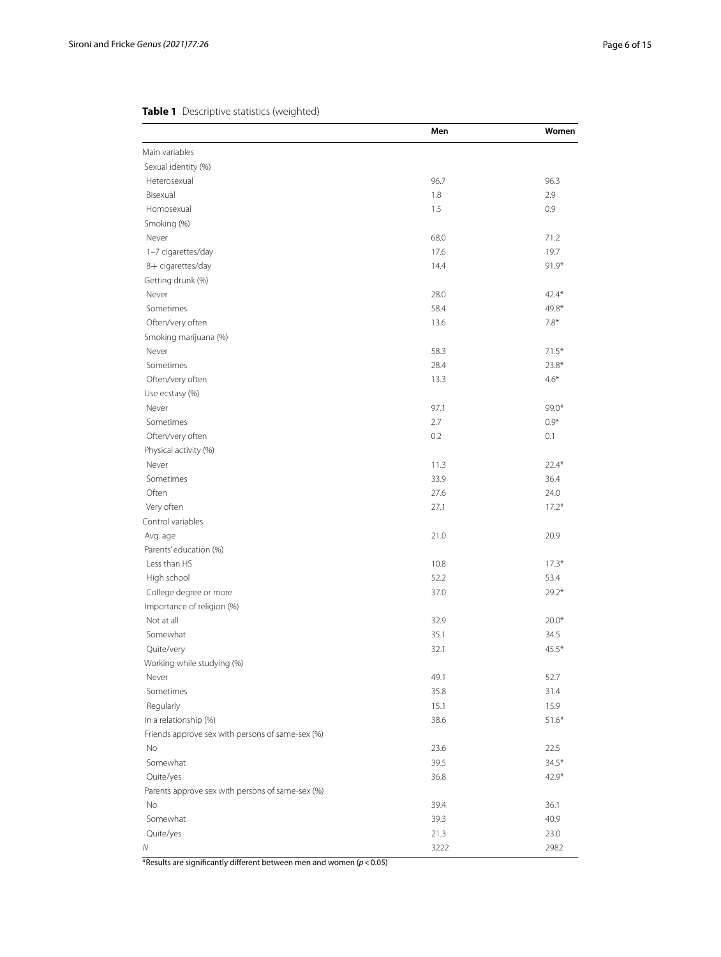# <span id="page-5-0"></span>**Table 1** Descriptive statistics (weighted)

|                                                  | Men  | Women   |
|--------------------------------------------------|------|---------|
| Main variables                                   |      |         |
| Sexual identity (%)                              |      |         |
| Heterosexual                                     | 96.7 | 96.3    |
| Bisexual                                         | 1.8  | 2.9     |
| Homosexual                                       | 1.5  | 0.9     |
| Smoking (%)                                      |      |         |
| Never                                            | 68.0 | 71.2    |
| 1-7 cigarettes/day                               | 17.6 | 19.7    |
| 8+ cigarettes/day                                | 14.4 | $91.9*$ |
| Getting drunk (%)                                |      |         |
| Never                                            | 28.0 | $42.4*$ |
| Sometimes                                        | 58.4 | 49.8*   |
| Often/very often                                 | 13.6 | $7.8*$  |
| Smoking marijuana (%)                            |      |         |
| Never                                            | 58.3 | $71.5*$ |
| Sometimes                                        | 28.4 | $23.8*$ |
| Often/very often                                 | 13.3 | $4.6*$  |
| Use ecstasy (%)                                  |      |         |
| Never                                            | 97.1 | 99.0*   |
| Sometimes                                        | 2.7  | $0.9*$  |
| Often/very often                                 | 0.2  | 0.1     |
| Physical activity (%)                            |      |         |
| Never                                            | 11.3 | $22.4*$ |
| Sometimes                                        | 33.9 | 36.4    |
| Often                                            | 27.6 | 24.0    |
| Very often                                       | 27.1 | $17.2*$ |
| Control variables                                |      |         |
| Avg. age                                         | 21.0 | 20.9    |
| Parents' education (%)                           |      |         |
| Less than HS                                     | 10.8 | $17.3*$ |
| High school                                      | 52.2 | 53.4    |
|                                                  | 37.0 | $29.2*$ |
| College degree or more                           |      |         |
| Importance of religion (%)<br>Not at all         | 32.9 | $20.0*$ |
| Somewhat                                         | 35.1 | 34.5    |
|                                                  |      | $45.5*$ |
| Quite/very                                       | 32.1 |         |
| Working while studying (%)                       |      |         |
| Never                                            | 49.1 | 52.7    |
| Sometimes                                        | 35.8 | 31.4    |
| Regularly                                        | 15.1 | 15.9    |
| In a relationship (%)                            | 38.6 | $51.6*$ |
| Friends approve sex with persons of same-sex (%) |      |         |
| No                                               | 23.6 | 22.5    |
| Somewhat                                         | 39.5 | $34.5*$ |
| Quite/yes                                        | 36.8 | $42.9*$ |
| Parents approve sex with persons of same-sex (%) |      |         |
| No                                               | 39.4 | 36.1    |
| Somewhat                                         | 39.3 | 40.9    |
| Quite/yes                                        | 21.3 | 23.0    |
| Ν                                                | 3222 | 2982    |

\*Results are signifcantly diferent between men and women (*p*<0.05)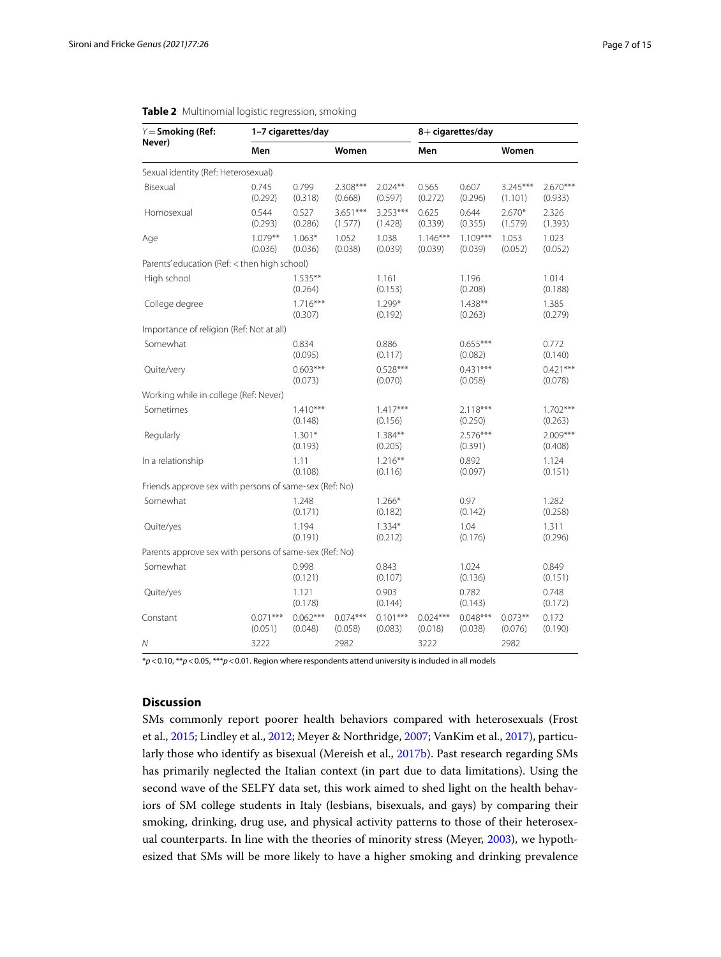| $Y =$ Smoking (Ref:                                    |                       | 1-7 cigarettes/day    |                       |                       |                       | 8+ cigarettes/day     |                       |                       |
|--------------------------------------------------------|-----------------------|-----------------------|-----------------------|-----------------------|-----------------------|-----------------------|-----------------------|-----------------------|
| Never)                                                 | Men                   |                       | Women                 |                       | Men                   |                       | Women                 |                       |
| Sexual identity (Ref: Heterosexual)                    |                       |                       |                       |                       |                       |                       |                       |                       |
| Bisexual                                               | 0.745<br>(0.292)      | 0.799<br>(0.318)      | $2.308***$<br>(0.668) | $2.024**$<br>(0.597)  | 0.565<br>(0.272)      | 0.607<br>(0.296)      | $3.245***$<br>(1.101) | 2.670***<br>(0.933)   |
| Homosexual                                             | 0.544<br>(0.293)      | 0.527<br>(0.286)      | 3.651***<br>(1.577)   | 3.253***<br>(1.428)   | 0.625<br>(0.339)      | 0.644<br>(0.355)      | $2.670*$<br>(1.579)   | 2.326<br>(1.393)      |
| Age                                                    | $1.079**$<br>(0.036)  | $1.063*$<br>(0.036)   | 1.052<br>(0.038)      | 1.038<br>(0.039)      | $1.146***$<br>(0.039) | $1.109***$<br>(0.039) | 1.053<br>(0.052)      | 1.023<br>(0.052)      |
| Parents' education (Ref: < then high school)           |                       |                       |                       |                       |                       |                       |                       |                       |
| High school                                            |                       | $1.535***$<br>(0.264) |                       | 1.161<br>(0.153)      |                       | 1.196<br>(0.208)      |                       | 1.014<br>(0.188)      |
| College degree                                         |                       | $1.716***$<br>(0.307) |                       | $1.299*$<br>(0.192)   |                       | $1.438**$<br>(0.263)  |                       | 1.385<br>(0.279)      |
| Importance of religion (Ref: Not at all)               |                       |                       |                       |                       |                       |                       |                       |                       |
| Somewhat                                               |                       | 0.834<br>(0.095)      |                       | 0.886<br>(0.117)      |                       | $0.655***$<br>(0.082) |                       | 0.772<br>(0.140)      |
| Quite/very                                             |                       | $0.603***$<br>(0.073) |                       | $0.528***$<br>(0.070) |                       | $0.431***$<br>(0.058) |                       | $0.421***$<br>(0.078) |
| Working while in college (Ref: Never)                  |                       |                       |                       |                       |                       |                       |                       |                       |
| Sometimes                                              |                       | $1.410***$<br>(0.148) |                       | $1.417***$<br>(0.156) |                       | $2.118***$<br>(0.250) |                       | $1.702***$<br>(0.263) |
| Regularly                                              |                       | $1.301*$<br>(0.193)   |                       | $1.384**$<br>(0.205)  |                       | 2.576***<br>(0.391)   |                       | $2.009***$<br>(0.408) |
| In a relationship                                      |                       | 1.11<br>(0.108)       |                       | $1.216***$<br>(0.116) |                       | 0.892<br>(0.097)      |                       | 1.124<br>(0.151)      |
| Friends approve sex with persons of same-sex (Ref: No) |                       |                       |                       |                       |                       |                       |                       |                       |
| Somewhat                                               |                       | 1.248<br>(0.171)      |                       | $1.266*$<br>(0.182)   |                       | 0.97<br>(0.142)       |                       | 1.282<br>(0.258)      |
| Quite/yes                                              |                       | 1.194<br>(0.191)      |                       | $1.334*$<br>(0.212)   |                       | 1.04<br>(0.176)       |                       | 1.311<br>(0.296)      |
| Parents approve sex with persons of same-sex (Ref: No) |                       |                       |                       |                       |                       |                       |                       |                       |
| Somewhat                                               |                       | 0.998<br>(0.121)      |                       | 0.843<br>(0.107)      |                       | 1.024<br>(0.136)      |                       | 0.849<br>(0.151)      |
| Quite/yes                                              |                       | 1.121<br>(0.178)      |                       | 0.903<br>(0.144)      |                       | 0.782<br>(0.143)      |                       | 0.748<br>(0.172)      |
| Constant                                               | $0.071***$<br>(0.051) | $0.062***$<br>(0.048) | $0.074***$<br>(0.058) | $0.101***$<br>(0.083) | $0.024***$<br>(0.018) | $0.048***$<br>(0.038) | $0.073**$<br>(0.076)  | 0.172<br>(0.190)      |
| Ν                                                      | 3222                  |                       | 2982                  |                       | 3222                  |                       | 2982                  |                       |

### <span id="page-6-0"></span>**Table 2** Multinomial logistic regression, smoking

\**p*<0.10, \*\**p*<0.05, \*\*\**p*<0.01. Region where respondents attend university is included in all models

# **Discussion**

SMs commonly report poorer health behaviors compared with heterosexuals (Frost et al., [2015;](#page-13-0) Lindley et al., [2012](#page-13-1); Meyer & Northridge, [2007;](#page-13-2) VanKim et al., [2017](#page-13-3)), particularly those who identify as bisexual (Mereish et al., [2017b\)](#page-13-12). Past research regarding SMs has primarily neglected the Italian context (in part due to data limitations). Using the second wave of the SELFY data set, this work aimed to shed light on the health behaviors of SM college students in Italy (lesbians, bisexuals, and gays) by comparing their smoking, drinking, drug use, and physical activity patterns to those of their heterosexual counterparts. In line with the theories of minority stress (Meyer, [2003](#page-13-4)), we hypothesized that SMs will be more likely to have a higher smoking and drinking prevalence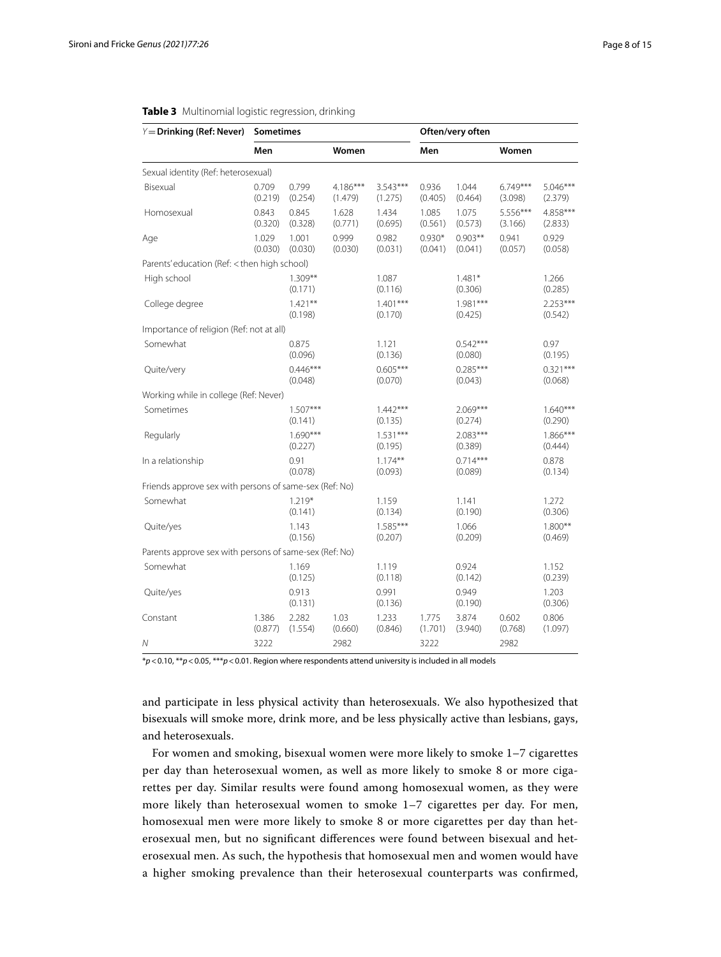| $Y =$ Drinking (Ref: Never)                            | Sometimes        |                       |                     |                       |                     | Often/very often      |                       |                       |
|--------------------------------------------------------|------------------|-----------------------|---------------------|-----------------------|---------------------|-----------------------|-----------------------|-----------------------|
|                                                        | Men              |                       | Women               |                       | Men                 |                       | Women                 |                       |
| Sexual identity (Ref: heterosexual)                    |                  |                       |                     |                       |                     |                       |                       |                       |
| Bisexual                                               | 0.709<br>(0.219) | 0.799<br>(0.254)      | 4.186***<br>(1.479) | $3.543***$<br>(1.275) | 0.936<br>(0.405)    | 1.044<br>(0.464)      | $6.749***$<br>(3.098) | 5.046***<br>(2.379)   |
| Homosexual                                             | 0.843<br>(0.320) | 0.845<br>(0.328)      | 1.628<br>(0.771)    | 1.434<br>(0.695)      | 1.085<br>(0.561)    | 1.075<br>(0.573)      | 5.556***<br>(3.166)   | 4.858***<br>(2.833)   |
| Age                                                    | 1.029<br>(0.030) | 1.001<br>(0.030)      | 0.999<br>(0.030)    | 0.982<br>(0.031)      | $0.930*$<br>(0.041) | $0.903**$<br>(0.041)  | 0.941<br>(0.057)      | 0.929<br>(0.058)      |
| Parents' education (Ref: < then high school)           |                  |                       |                     |                       |                     |                       |                       |                       |
| High school                                            |                  | $1.309**$<br>(0.171)  |                     | 1.087<br>(0.116)      |                     | $1.481*$<br>(0.306)   |                       | 1.266<br>(0.285)      |
| College degree                                         |                  | $1.421***$<br>(0.198) |                     | $1.401***$<br>(0.170) |                     | $1.981***$<br>(0.425) |                       | $2.253***$<br>(0.542) |
| Importance of religion (Ref: not at all)               |                  |                       |                     |                       |                     |                       |                       |                       |
| Somewhat                                               |                  | 0.875<br>(0.096)      |                     | 1.121<br>(0.136)      |                     | $0.542***$<br>(0.080) |                       | 0.97<br>(0.195)       |
| Quite/very                                             |                  | $0.446***$<br>(0.048) |                     | $0.605***$<br>(0.070) |                     | $0.285***$<br>(0.043) |                       | $0.321***$<br>(0.068) |
| Working while in college (Ref: Never)                  |                  |                       |                     |                       |                     |                       |                       |                       |
| Sometimes                                              |                  | $1.507***$<br>(0.141) |                     | $1.442***$<br>(0.135) |                     | $2.069***$<br>(0.274) |                       | $1.640***$<br>(0.290) |
| Regularly                                              |                  | $1.690***$<br>(0.227) |                     | $1.531***$<br>(0.195) |                     | $2.083***$<br>(0.389) |                       | $1.866***$<br>(0.444) |
| In a relationship                                      |                  | 0.91<br>(0.078)       |                     | $1.174**$<br>(0.093)  |                     | $0.714***$<br>(0.089) |                       | 0.878<br>(0.134)      |
| Friends approve sex with persons of same-sex (Ref: No) |                  |                       |                     |                       |                     |                       |                       |                       |
| Somewhat                                               |                  | $1.219*$<br>(0.141)   |                     | 1.159<br>(0.134)      |                     | 1.141<br>(0.190)      |                       | 1.272<br>(0.306)      |
| Quite/yes                                              |                  | 1.143<br>(0.156)      |                     | $1.585***$<br>(0.207) |                     | 1.066<br>(0.209)      |                       | $1.800**$<br>(0.469)  |
| Parents approve sex with persons of same-sex (Ref: No) |                  |                       |                     |                       |                     |                       |                       |                       |
| Somewhat                                               |                  | 1.169<br>(0.125)      |                     | 1.119<br>(0.118)      |                     | 0.924<br>(0.142)      |                       | 1.152<br>(0.239)      |
| Quite/yes                                              |                  | 0.913<br>(0.131)      |                     | 0.991<br>(0.136)      |                     | 0.949<br>(0.190)      |                       | 1.203<br>(0.306)      |
| Constant                                               | 1.386<br>(0.877) | 2.282<br>(1.554)      | 1.03<br>(0.660)     | 1.233<br>(0.846)      | 1.775<br>(1.701)    | 3.874<br>(3.940)      | 0.602<br>(0.768)      | 0.806<br>(1.097)      |
| Ν                                                      | 3222             |                       | 2982                |                       | 3222                |                       | 2982                  |                       |

#### <span id="page-7-0"></span>**Table 3** Multinomial logistic regression, drinking

\**p*<0.10, \*\**p*<0.05, \*\*\**p*<0.01. Region where respondents attend university is included in all models

and participate in less physical activity than heterosexuals. We also hypothesized that bisexuals will smoke more, drink more, and be less physically active than lesbians, gays, and heterosexuals.

For women and smoking, bisexual women were more likely to smoke 1–7 cigarettes per day than heterosexual women, as well as more likely to smoke 8 or more cigarettes per day. Similar results were found among homosexual women, as they were more likely than heterosexual women to smoke 1–7 cigarettes per day. For men, homosexual men were more likely to smoke 8 or more cigarettes per day than heterosexual men, but no signifcant diferences were found between bisexual and heterosexual men. As such, the hypothesis that homosexual men and women would have a higher smoking prevalence than their heterosexual counterparts was confrmed,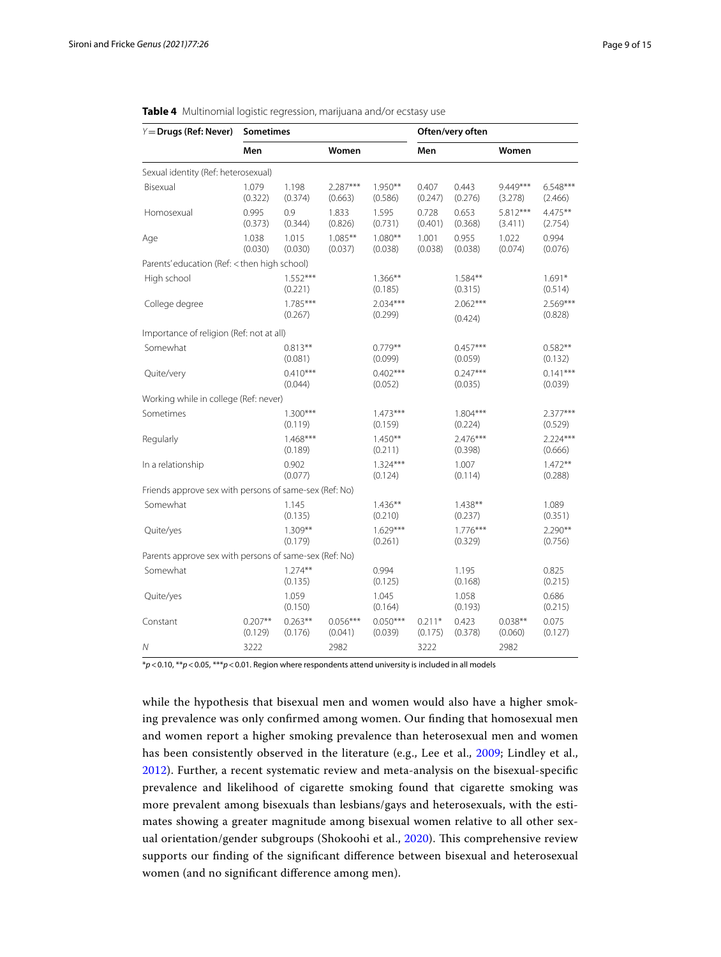| $Y =$ Drugs (Ref: Never)                               | <b>Sometimes</b>     |                       |                       |                       |                     | Often/very often      |                       |                       |
|--------------------------------------------------------|----------------------|-----------------------|-----------------------|-----------------------|---------------------|-----------------------|-----------------------|-----------------------|
|                                                        | Men                  |                       | Women                 |                       | Men                 |                       | Women                 |                       |
| Sexual identity (Ref: heterosexual)                    |                      |                       |                       |                       |                     |                       |                       |                       |
| Bisexual                                               | 1.079<br>(0.322)     | 1.198<br>(0.374)      | 2.287***<br>(0.663)   | $1.950**$<br>(0.586)  | 0.407<br>(0.247)    | 0.443<br>(0.276)      | 9.449***<br>(3.278)   | $6.548***$<br>(2.466) |
| Homosexual                                             | 0.995<br>(0.373)     | 0.9<br>(0.344)        | 1.833<br>(0.826)      | 1.595<br>(0.731)      | 0.728<br>(0.401)    | 0.653<br>(0.368)      | $5.812***$<br>(3.411) | $4.475***$<br>(2.754) |
| Age                                                    | 1.038<br>(0.030)     | 1.015<br>(0.030)      | $1.085***$<br>(0.037) | $1.080**$<br>(0.038)  | 1.001<br>(0.038)    | 0.955<br>(0.038)      | 1.022<br>(0.074)      | 0.994<br>(0.076)      |
| Parents' education (Ref: < then high school)           |                      |                       |                       |                       |                     |                       |                       |                       |
| High school                                            |                      | $1.552***$<br>(0.221) |                       | $1.366***$<br>(0.185) |                     | $1.584***$<br>(0.315) |                       | $1.691*$<br>(0.514)   |
| College degree                                         |                      | $1.785***$<br>(0.267) |                       | $2.034***$<br>(0.299) |                     | $2.062***$<br>(0.424) |                       | $2.569***$<br>(0.828) |
| Importance of religion (Ref: not at all)               |                      |                       |                       |                       |                     |                       |                       |                       |
| Somewhat                                               |                      | $0.813**$<br>(0.081)  |                       | $0.779**$<br>(0.099)  |                     | $0.457***$<br>(0.059) |                       | $0.582**$<br>(0.132)  |
| Quite/very                                             |                      | $0.410***$<br>(0.044) |                       | $0.402***$<br>(0.052) |                     | $0.247***$<br>(0.035) |                       | $0.141***$<br>(0.039) |
| Working while in college (Ref: never)                  |                      |                       |                       |                       |                     |                       |                       |                       |
| Sometimes                                              |                      | $1.300***$<br>(0.119) |                       | $1.473***$<br>(0.159) |                     | $1.804***$<br>(0.224) |                       | $2.377***$<br>(0.529) |
| Regularly                                              |                      | $1.468***$<br>(0.189) |                       | $1.450**$<br>(0.211)  |                     | 2.476***<br>(0.398)   |                       | $2.224***$<br>(0.666) |
| In a relationship                                      |                      | 0.902<br>(0.077)      |                       | $1.324***$<br>(0.124) |                     | 1.007<br>(0.114)      |                       | $1.472**$<br>(0.288)  |
| Friends approve sex with persons of same-sex (Ref: No) |                      |                       |                       |                       |                     |                       |                       |                       |
| Somewhat                                               |                      | 1.145<br>(0.135)      |                       | $1.436***$<br>(0.210) |                     | $1.438**$<br>(0.237)  |                       | 1.089<br>(0.351)      |
| Quite/yes                                              |                      | 1.309**<br>(0.179)    |                       | $1.629***$<br>(0.261) |                     | $1.776***$<br>(0.329) |                       | $2.290**$<br>(0.756)  |
| Parents approve sex with persons of same-sex (Ref: No) |                      |                       |                       |                       |                     |                       |                       |                       |
| Somewhat                                               |                      | $1.274***$<br>(0.135) |                       | 0.994<br>(0.125)      |                     | 1.195<br>(0.168)      |                       | 0.825<br>(0.215)      |
| Quite/yes                                              |                      | 1.059<br>(0.150)      |                       | 1.045<br>(0.164)      |                     | 1.058<br>(0.193)      |                       | 0.686<br>(0.215)      |
| Constant                                               | $0.207**$<br>(0.129) | $0.263**$<br>(0.176)  | $0.056***$<br>(0.041) | $0.050***$<br>(0.039) | $0.211*$<br>(0.175) | 0.423<br>(0.378)      | $0.038**$<br>(0.060)  | 0.075<br>(0.127)      |
| Ν                                                      | 3222                 |                       | 2982                  |                       | 3222                |                       | 2982                  |                       |

<span id="page-8-0"></span>

|  | Table 4 Multinomial logistic regression, marijuana and/or ecstasy use |  |  |  |  |  |
|--|-----------------------------------------------------------------------|--|--|--|--|--|
|--|-----------------------------------------------------------------------|--|--|--|--|--|

\**p*<0.10, \*\**p*<0.05, \*\*\**p*<0.01. Region where respondents attend university is included in all models

while the hypothesis that bisexual men and women would also have a higher smoking prevalence was only confrmed among women. Our fnding that homosexual men and women report a higher smoking prevalence than heterosexual men and women has been consistently observed in the literature (e.g., Lee et al., [2009;](#page-13-26) Lindley et al., [2012\)](#page-13-1). Further, a recent systematic review and meta-analysis on the bisexual-specifc prevalence and likelihood of cigarette smoking found that cigarette smoking was more prevalent among bisexuals than lesbians/gays and heterosexuals, with the estimates showing a greater magnitude among bisexual women relative to all other sex-ual orientation/gender subgroups (Shokoohi et al., [2020](#page-13-27)). This comprehensive review supports our fnding of the signifcant diference between bisexual and heterosexual women (and no signifcant diference among men).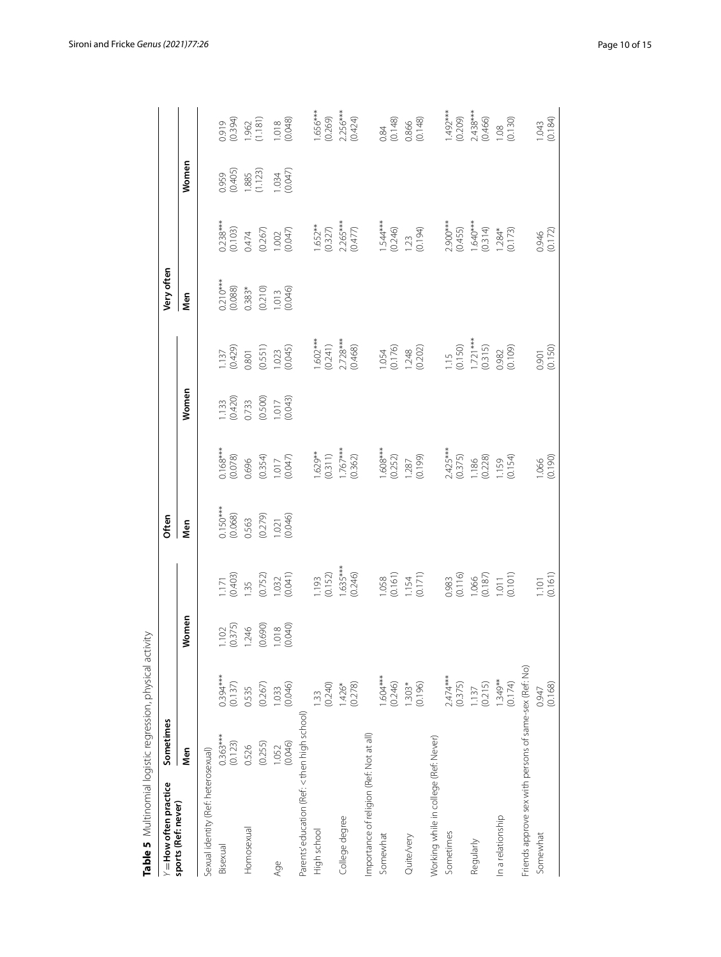| $Y =$ How often practice                               | Sometimes             |                            |                                   |                                                                     | Often                                                     |                                                             |                                             |                                                 | Very often                                                                                    |                                                      |                                             |                                                                |
|--------------------------------------------------------|-----------------------|----------------------------|-----------------------------------|---------------------------------------------------------------------|-----------------------------------------------------------|-------------------------------------------------------------|---------------------------------------------|-------------------------------------------------|-----------------------------------------------------------------------------------------------|------------------------------------------------------|---------------------------------------------|----------------------------------------------------------------|
| sports (Ref: never)                                    | Men                   |                            | Women                             |                                                                     | Nen                                                       |                                                             | Women                                       |                                                 | Men                                                                                           |                                                      | Women                                       |                                                                |
| Sexual identity (Ref: heterosexual)                    |                       |                            |                                   |                                                                     |                                                           |                                                             |                                             |                                                 |                                                                                               |                                                      |                                             |                                                                |
| Bisexual                                               | $0.363***$<br>(0.123) | $0.394***$<br>(0.137)      | $\frac{1.102}{(0.375)}$<br>1.246  | $\frac{171}{0.403}$<br>1.35                                         |                                                           |                                                             |                                             |                                                 |                                                                                               |                                                      |                                             |                                                                |
| Homosexual                                             | 0.526                 | 0.535                      |                                   |                                                                     |                                                           |                                                             |                                             |                                                 |                                                                                               |                                                      |                                             |                                                                |
|                                                        | (0.255)               | (0.267)                    |                                   |                                                                     |                                                           |                                                             |                                             |                                                 |                                                                                               |                                                      |                                             |                                                                |
| Age                                                    | 1.052<br>(0.046)      | $1.033$<br>$(0.046)$       | $(0.690)$<br>$1.018$<br>$(0.040)$ | $(0.752)$<br>$(0.032)$<br>$(0.041)$                                 | 0.150***<br>(0.068)<br>0.563<br>(0.279)<br>1.021<br>1.021 | 0.168***<br>(0.078)<br>0.696<br>1.017<br>1.017              | 1.133<br>(0.420)<br>0.733<br>1.017<br>1.017 | 1.137<br>(0.429)<br>0.801<br>1.023<br>1.023     | $\begin{array}{l} 0.210***\\ 0.088)\\ 0.383*\\ 0.210)\\ 0.110\\ 0.013\\ 0.046)\\ \end{array}$ | 0.238***<br>(0.103)<br>0.474<br>(0.267)<br>1.002     | 0.959<br>(0.405)<br>1.885<br>1.034<br>1.034 | 0.919<br>(0.394)<br>1.962<br>1.018<br>1.018<br>(0.048)         |
| Parents' education (Ref: < then high school)           |                       |                            |                                   |                                                                     |                                                           |                                                             |                                             |                                                 |                                                                                               |                                                      |                                             |                                                                |
| High school                                            |                       | (0.240)<br>$\overline{33}$ |                                   | (0.193)                                                             |                                                           |                                                             |                                             |                                                 |                                                                                               |                                                      |                                             | 1.656***<br>(0.269)                                            |
| College degree                                         |                       | $1.426*$<br>(0.278)        |                                   | $1.635***$<br>(0.246)                                               |                                                           | $1.629**$<br>(0.311)<br>1.767***<br>(0.362)                 |                                             | 1.602***<br>(0.241)<br>2.728***<br>(0.468)      |                                                                                               | $1.652**$<br>(0.327)<br>2.265***<br>(0.477)          |                                             | $2.256***$<br>(0.424)                                          |
| Importance of religion (Ref: Not at all)               |                       |                            |                                   |                                                                     |                                                           |                                                             |                                             |                                                 |                                                                                               |                                                      |                                             |                                                                |
| Somewhat                                               |                       | $1.604***$<br>(0.246)      |                                   |                                                                     |                                                           |                                                             |                                             |                                                 |                                                                                               |                                                      |                                             |                                                                |
| Quite/very                                             |                       | $1.303*$<br>$(0.196)$      |                                   | $\begin{array}{c} 1.058 \\ (0.161) \\ 1.154 \\ (0.171) \end{array}$ |                                                           | $1.608***$<br>(0.252)<br>(0.199)<br>(0.199)                 |                                             | 1.054<br>(0.176)<br>1.248<br>(0.202)            |                                                                                               | $1.544***$<br>(0.246)<br>1.23<br>(0.194)             |                                             | $\begin{array}{c} 0.84 \\ 0.148 \\ 0.866 \\ 0.866 \end{array}$ |
| Working while in college (Ref: Never)                  |                       |                            |                                   |                                                                     |                                                           |                                                             |                                             |                                                 |                                                                                               |                                                      |                                             |                                                                |
| Sometimes                                              |                       | $2.474***$<br>(0.375)      |                                   |                                                                     |                                                           |                                                             |                                             |                                                 |                                                                                               |                                                      |                                             |                                                                |
| Regularly                                              |                       | $1.137$<br>(0.215)         |                                   | 0.983<br>(0.116)<br>1.066<br>(0.187)<br>1.011                       |                                                           | 2.425***<br>(0.375)<br>1.186<br>(0.228)<br>1.159<br>(0.154) |                                             | 1.15<br>(0.150)<br>1.721***<br>(0.315)<br>0.982 |                                                                                               | 2.900***<br>(0.455)<br>1.640***<br>(0.314)<br>1.284* |                                             | 1.492***<br>(0.209)<br>2.438***<br>0.466)<br>1.08<br>1.08      |
| In a relationship                                      |                       | $1.349**$<br>(0.174)       |                                   |                                                                     |                                                           |                                                             |                                             |                                                 |                                                                                               |                                                      |                                             |                                                                |
| Friends approve sex with persons of same-sex (Ref: No) |                       |                            |                                   |                                                                     |                                                           |                                                             |                                             |                                                 |                                                                                               |                                                      |                                             |                                                                |
| Somewhat                                               |                       | (0.168)<br>0.947           |                                   | (0.101)                                                             |                                                           | $\frac{1.066}{(0.190)}$                                     |                                             | $0.901$<br>$(0.150)$                            |                                                                                               | 0.946<br>(0.172)                                     |                                             | $1.043$<br>(0.184)                                             |

<span id="page-9-0"></span>Table 5 Multinomial logistic regression, physical activity **Table 5** Multinomial logistic regression, physical activity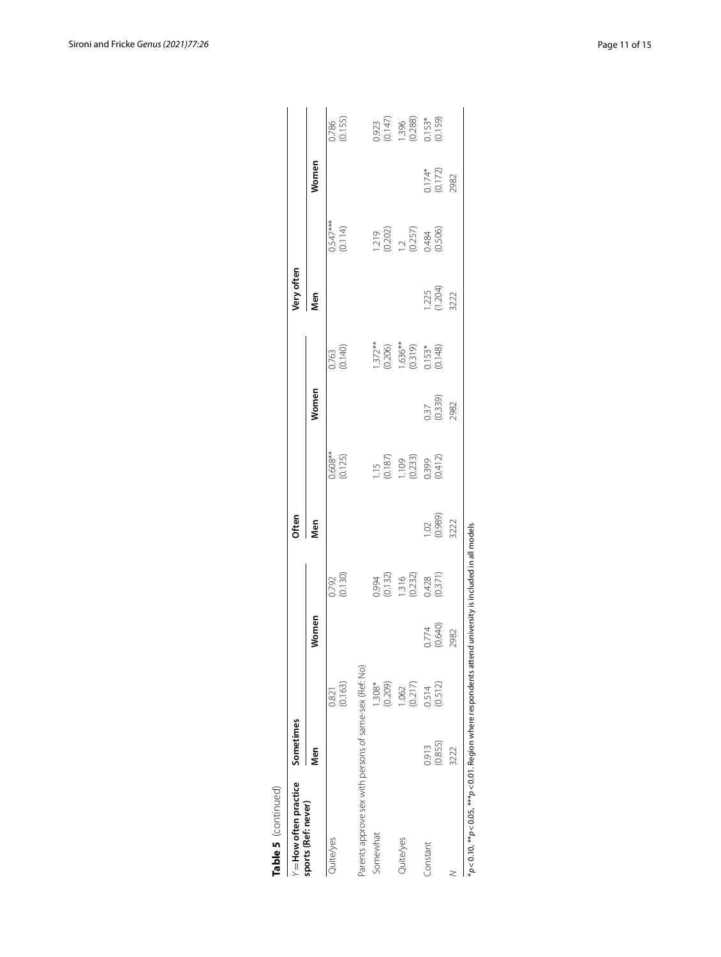| Table 5 (continued)                                                         |                  |                   |                      |                                                        |                         |                                                               |                         |                                                   |                          |                                                        |                           |                                               |
|-----------------------------------------------------------------------------|------------------|-------------------|----------------------|--------------------------------------------------------|-------------------------|---------------------------------------------------------------|-------------------------|---------------------------------------------------|--------------------------|--------------------------------------------------------|---------------------------|-----------------------------------------------|
| = How often practice                                                        | Sometimes        |                   |                      |                                                        | Often                   |                                                               |                         |                                                   | Very often               |                                                        |                           |                                               |
| sports (Ref: never)                                                         | Men              |                   | Women                |                                                        | Men                     |                                                               | Women                   |                                                   | Vien                     |                                                        | Women                     |                                               |
| Quite/yes                                                                   |                  | (0.163)<br>0.821  |                      | 0.792<br>(0.130)                                       |                         | $0.608**$<br>(0.125)                                          |                         | 0.763<br>(0.140)                                  |                          | $0.547***$<br>(0.114)                                  |                           | 0.786<br>(0.155)                              |
| Parents approve sex with persons of same-sex (Ref: No)                      |                  |                   |                      |                                                        |                         |                                                               |                         |                                                   |                          |                                                        |                           |                                               |
| Somewhat                                                                    |                  | (0.209)<br>1.308* |                      |                                                        |                         |                                                               |                         |                                                   |                          |                                                        |                           |                                               |
| Quite/yes                                                                   |                  | (0.217)<br>1.062  |                      | 0.994<br>(0.132)<br>1.316<br>1.322)<br>0.428<br>0.371) |                         | 1.15<br>(0.187)<br>1.109<br>1.109<br>0.339<br>0.399<br>0.412) |                         | 1.372**<br>(0.206)<br>1.636**<br>0.153*<br>0.153* |                          | $(0.202)$<br>$(0.202)$<br>$(0.257)$<br>0.484<br>0.506) |                           | 0.923<br>(0.147)<br>1.396<br>0.288)<br>0.1591 |
| ionstant                                                                    | (0.855)<br>0.913 | (0.512)<br>0.514  | $0.774$<br>$(0.640)$ |                                                        | 1.02<br>(0.989)<br>3222 |                                                               | 0.37<br>(0.339)<br>2982 |                                                   | 1.225<br>(1.204)<br>3222 |                                                        | 0.174*<br>(0.172)<br>2982 |                                               |
|                                                                             | 3222             |                   | 2982                 |                                                        |                         |                                                               |                         |                                                   |                          |                                                        |                           |                                               |
| $p<$ 0.10, $^{**}p<$ 0.05, $^{***}p<$ 0.01. Region where respondents attend |                  |                   |                      | university is included in all models                   |                         |                                                               |                         |                                                   |                          |                                                        |                           |                                               |

| $\overline{ }$ |
|----------------|
|                |
| ŗ              |
|                |

Sironi and Fricke *Genus (2021) 77:26* Page 11 of 15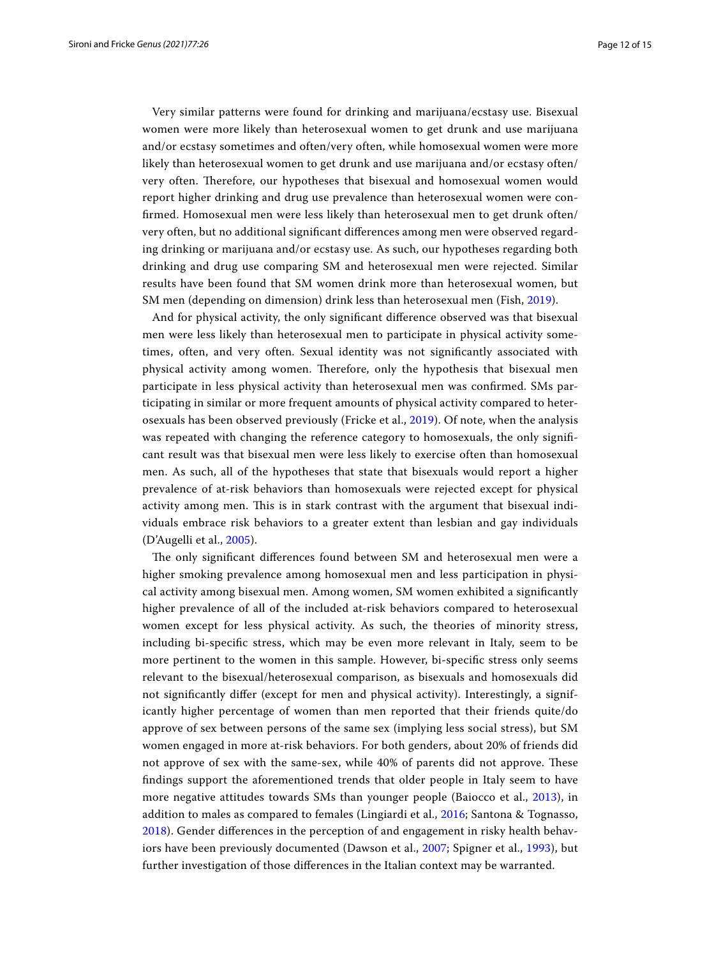Very similar patterns were found for drinking and marijuana/ecstasy use. Bisexual women were more likely than heterosexual women to get drunk and use marijuana and/or ecstasy sometimes and often/very often, while homosexual women were more likely than heterosexual women to get drunk and use marijuana and/or ecstasy often/ very often. Therefore, our hypotheses that bisexual and homosexual women would report higher drinking and drug use prevalence than heterosexual women were confrmed. Homosexual men were less likely than heterosexual men to get drunk often/ very often, but no additional signifcant diferences among men were observed regarding drinking or marijuana and/or ecstasy use. As such, our hypotheses regarding both drinking and drug use comparing SM and heterosexual men were rejected. Similar results have been found that SM women drink more than heterosexual women, but SM men (depending on dimension) drink less than heterosexual men (Fish, [2019\)](#page-13-28).

And for physical activity, the only signifcant diference observed was that bisexual men were less likely than heterosexual men to participate in physical activity sometimes, often, and very often. Sexual identity was not signifcantly associated with physical activity among women. Therefore, only the hypothesis that bisexual men participate in less physical activity than heterosexual men was confrmed. SMs participating in similar or more frequent amounts of physical activity compared to heterosexuals has been observed previously (Fricke et al., [2019\)](#page-13-29). Of note, when the analysis was repeated with changing the reference category to homosexuals, the only signifcant result was that bisexual men were less likely to exercise often than homosexual men. As such, all of the hypotheses that state that bisexuals would report a higher prevalence of at-risk behaviors than homosexuals were rejected except for physical activity among men. This is in stark contrast with the argument that bisexual individuals embrace risk behaviors to a greater extent than lesbian and gay individuals (D'Augelli et al., [2005\)](#page-12-2).

The only significant differences found between SM and heterosexual men were a higher smoking prevalence among homosexual men and less participation in physical activity among bisexual men. Among women, SM women exhibited a signifcantly higher prevalence of all of the included at-risk behaviors compared to heterosexual women except for less physical activity. As such, the theories of minority stress, including bi-specifc stress, which may be even more relevant in Italy, seem to be more pertinent to the women in this sample. However, bi-specifc stress only seems relevant to the bisexual/heterosexual comparison, as bisexuals and homosexuals did not signifcantly difer (except for men and physical activity). Interestingly, a significantly higher percentage of women than men reported that their friends quite/do approve of sex between persons of the same sex (implying less social stress), but SM women engaged in more at-risk behaviors. For both genders, about 20% of friends did not approve of sex with the same-sex, while 40% of parents did not approve. These fndings support the aforementioned trends that older people in Italy seem to have more negative attitudes towards SMs than younger people (Baiocco et al., [2013](#page-12-6)), in addition to males as compared to females (Lingiardi et al., [2016](#page-13-20); Santona & Tognasso, [2018\)](#page-13-16). Gender diferences in the perception of and engagement in risky health behaviors have been previously documented (Dawson et al., [2007](#page-12-8); Spigner et al., [1993](#page-13-30)), but further investigation of those diferences in the Italian context may be warranted.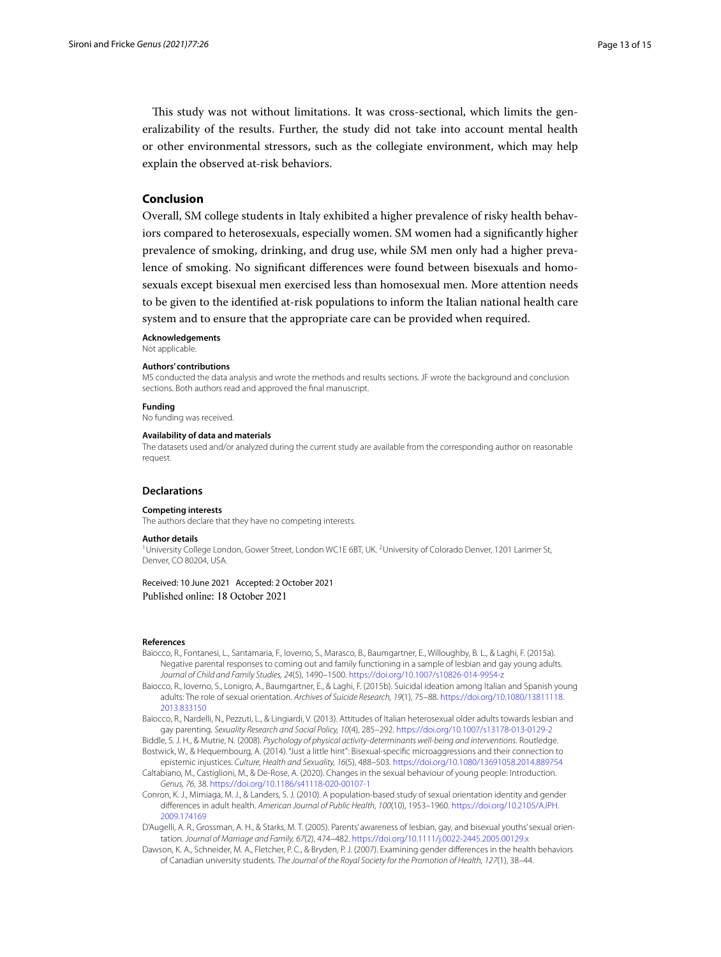This study was not without limitations. It was cross-sectional, which limits the generalizability of the results. Further, the study did not take into account mental health or other environmental stressors, such as the collegiate environment, which may help explain the observed at-risk behaviors.

# **Conclusion**

Overall, SM college students in Italy exhibited a higher prevalence of risky health behaviors compared to heterosexuals, especially women. SM women had a signifcantly higher prevalence of smoking, drinking, and drug use, while SM men only had a higher prevalence of smoking. No signifcant diferences were found between bisexuals and homosexuals except bisexual men exercised less than homosexual men. More attention needs to be given to the identifed at-risk populations to inform the Italian national health care system and to ensure that the appropriate care can be provided when required.

#### **Acknowledgements**

Not applicable.

#### **Authors' contributions**

MS conducted the data analysis and wrote the methods and results sections. JF wrote the background and conclusion sections. Both authors read and approved the fnal manuscript.

#### **Funding**

No funding was received.

#### **Availability of data and materials**

The datasets used and/or analyzed during the current study are available from the corresponding author on reasonable request.

#### **Declarations**

#### **Competing interests**

The authors declare that they have no competing interests.

#### **Author details**

<sup>1</sup> University College London, Gower Street, London WC1E 6BT, UK. <sup>2</sup> University of Colorado Denver, 1201 Larimer St, Denver, CO 80204, USA.

#### Received: 10 June 2021 Accepted: 2 October 2021 Published online: 18 October 2021

#### **References**

- <span id="page-12-4"></span>Baiocco, R., Fontanesi, L., Santamaria, F., Ioverno, S., Marasco, B., Baumgartner, E., Willoughby, B. L., & Laghi, F. (2015a). Negative parental responses to coming out and family functioning in a sample of lesbian and gay young adults. *Journal of Child and Family Studies, 24*(5), 1490–1500.<https://doi.org/10.1007/s10826-014-9954-z>
- <span id="page-12-5"></span>Baiocco, R., Ioverno, S., Lonigro, A., Baumgartner, E., & Laghi, F. (2015b). Suicidal ideation among Italian and Spanish young adults: The role of sexual orientation. *Archives of Suicide Research, 19*(1), 75–88. [https://doi.org/10.1080/13811118.](https://doi.org/10.1080/13811118.2013.833150) [2013.833150](https://doi.org/10.1080/13811118.2013.833150)
- <span id="page-12-6"></span>Baiocco, R., Nardelli, N., Pezzuti, L., & Lingiardi, V. (2013). Attitudes of Italian heterosexual older adults towards lesbian and gay parenting. *Sexuality Research and Social Policy, 10*(4), 285–292.<https://doi.org/10.1007/s13178-013-0129-2>
- <span id="page-12-1"></span><span id="page-12-0"></span>Biddle, S. J. H., & Mutrie, N. (2008). *Psychology of physical activity-determinants well-being and interventions*. Routledge. Bostwick, W., & Hequembourg, A. (2014). "Just a little hint": Bisexual-specifc microaggressions and their connection to
- <span id="page-12-7"></span>epistemic injustices. *Culture, Health and Sexuality, 16*(5), 488–503. <https://doi.org/10.1080/13691058.2014.889754> Caltabiano, M., Castiglioni, M., & De-Rose, A. (2020). Changes in the sexual behaviour of young people: Introduction. *Genus, 76*, 38. <https://doi.org/10.1186/s41118-020-00107-1>
- <span id="page-12-3"></span>Conron, K. J., Mimiaga, M. J., & Landers, S. J. (2010). A population-based study of sexual orientation identity and gender diferences in adult health. *American Journal of Public Health, 100*(10), 1953–1960. [https://doi.org/10.2105/AJPH.](https://doi.org/10.2105/AJPH.2009.174169) [2009.174169](https://doi.org/10.2105/AJPH.2009.174169)
- <span id="page-12-2"></span>D'Augelli, A. R., Grossman, A. H., & Starks, M. T. (2005). Parents' awareness of lesbian, gay, and bisexual youths' sexual orientation. *Journal of Marriage and Family, 67*(2), 474–482. <https://doi.org/10.1111/j.0022-2445.2005.00129.x>
- <span id="page-12-8"></span>Dawson, K. A., Schneider, M. A., Fletcher, P. C., & Bryden, P. J. (2007). Examining gender diferences in the health behaviors of Canadian university students. *The Journal of the Royal Society for the Promotion of Health, 127*(1), 38–44.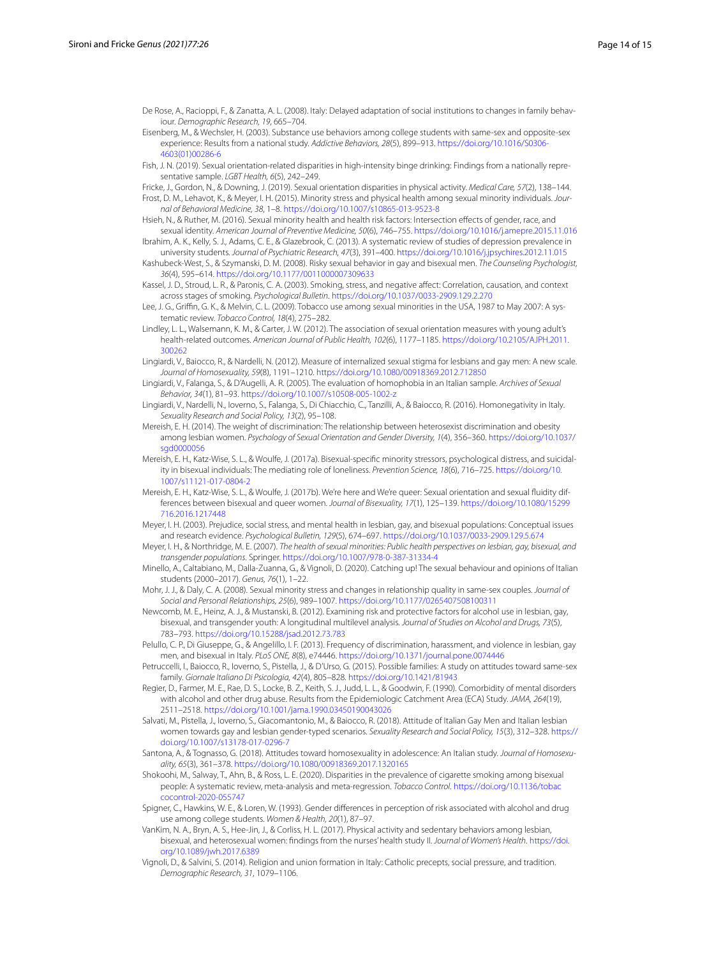<span id="page-13-17"></span>De Rose, A., Racioppi, F., & Zanatta, A. L. (2008). Italy: Delayed adaptation of social institutions to changes in family behaviour. *Demographic Research, 19*, 665–704.

<span id="page-13-5"></span>Eisenberg, M., & Wechsler, H. (2003). Substance use behaviors among college students with same-sex and opposite-sex experience: Results from a national study. *Addictive Behaviors, 28*(5), 899–913. [https://doi.org/10.1016/S0306-](https://doi.org/10.1016/S0306-4603(01)00286-6) [4603\(01\)00286-6](https://doi.org/10.1016/S0306-4603(01)00286-6)

<span id="page-13-28"></span>Fish, J. N. (2019). Sexual orientation-related disparities in high-intensity binge drinking: Findings from a nationally representative sample. *LGBT Health, 6*(5), 242–249.

<span id="page-13-29"></span><span id="page-13-0"></span>Fricke, J., Gordon, N., & Downing, J. (2019). Sexual orientation disparities in physical activity. *Medical Care, 57*(2), 138–144. Frost, D. M., Lehavot, K., & Meyer, I. H. (2015). Minority stress and physical health among sexual minority individuals. *Journal of Behavioral Medicine, 38*, 1–8.<https://doi.org/10.1007/s10865-013-9523-8>

- <span id="page-13-15"></span>Hsieh, N., & Ruther, M. (2016). Sexual minority health and health risk factors: Intersection efects of gender, race, and sexual identity. *American Journal of Preventive Medicine, 50*(6), 746–755.<https://doi.org/10.1016/j.amepre.2015.11.016>
- <span id="page-13-11"></span>Ibrahim, A. K., Kelly, S. J., Adams, C. E., & Glazebrook, C. (2013). A systematic review of studies of depression prevalence in university students. *Journal of Psychiatric Research, 47*(3), 391–400.<https://doi.org/10.1016/j.jpsychires.2012.11.015>
- <span id="page-13-6"></span>Kashubeck-West, S., & Szymanski, D. M. (2008). Risky sexual behavior in gay and bisexual men. *The Counseling Psychologist, 36*(4), 595–614. <https://doi.org/10.1177/0011000007309633>

<span id="page-13-9"></span>Kassel, J. D., Stroud, L. R., & Paronis, C. A. (2003). Smoking, stress, and negative afect: Correlation, causation, and context across stages of smoking. *Psychological Bulletin*.<https://doi.org/10.1037/0033-2909.129.2.270>

<span id="page-13-26"></span>Lee, J. G., Grifn, G. K., & Melvin, C. L. (2009). Tobacco use among sexual minorities in the USA, 1987 to May 2007: A systematic review. *Tobacco Control, 18*(4), 275–282.

<span id="page-13-1"></span>Lindley, L. L., Walsemann, K. M., & Carter, J. W. (2012). The association of sexual orientation measures with young adult's health-related outcomes. *American Journal of Public Health, 102*(6), 1177–1185. [https://doi.org/10.2105/AJPH.2011.](https://doi.org/10.2105/AJPH.2011.300262) [300262](https://doi.org/10.2105/AJPH.2011.300262)

- <span id="page-13-24"></span>Lingiardi, V., Baiocco, R., & Nardelli, N. (2012). Measure of internalized sexual stigma for lesbians and gay men: A new scale. *Journal of Homosexuality, 59*(8), 1191–1210.<https://doi.org/10.1080/00918369.2012.712850>
- <span id="page-13-21"></span>Lingiardi, V., Falanga, S., & D'Augelli, A. R. (2005). The evaluation of homophobia in an Italian sample. *Archives of Sexual Behavior, 34*(1), 81–93.<https://doi.org/10.1007/s10508-005-1002-z>
- <span id="page-13-20"></span>Lingiardi, V., Nardelli, N., Ioverno, S., Falanga, S., Di Chiacchio, C., Tanzilli, A., & Baiocco, R. (2016). Homonegativity in Italy. *Sexuality Research and Social Policy, 13*(2), 95–108.
- <span id="page-13-7"></span>Mereish, E. H. (2014). The weight of discrimination: The relationship between heterosexist discrimination and obesity among lesbian women. *Psychology of Sexual Orientation and Gender Diversity, 1*(4), 356–360. [https://doi.org/10.1037/](https://doi.org/10.1037/sgd0000056) [sgd0000056](https://doi.org/10.1037/sgd0000056)
- <span id="page-13-13"></span>Mereish, E. H., Katz-Wise, S. L., & Woulfe, J. (2017a). Bisexual-specifc minority stressors, psychological distress, and suicidality in bisexual individuals: The mediating role of loneliness. *Prevention Science, 18*(6), 716–725. [https://doi.org/10.](https://doi.org/10.1007/s11121-017-0804-2) [1007/s11121-017-0804-2](https://doi.org/10.1007/s11121-017-0804-2)
- <span id="page-13-12"></span>Mereish, E. H., Katz-Wise, S. L., & Woulfe, J. (2017b). We're here and We're queer: Sexual orientation and sexual fuidity differences between bisexual and queer women. *Journal of Bisexuality, 17*(1), 125–139. [https://doi.org/10.1080/15299](https://doi.org/10.1080/15299716.2016.1217448) [716.2016.1217448](https://doi.org/10.1080/15299716.2016.1217448)
- <span id="page-13-4"></span>Meyer, I. H. (2003). Prejudice, social stress, and mental health in lesbian, gay, and bisexual populations: Conceptual issues and research evidence. *Psychological Bulletin, 129*(5), 674–697. <https://doi.org/10.1037/0033-2909.129.5.674>

<span id="page-13-2"></span>Meyer, I. H., & Northridge, M. E. (2007). *The health of sexual minorities: Public health perspectives on lesbian, gay, bisexual, and transgender populations*. Springer. <https://doi.org/10.1007/978-0-387-31334-4>

- <span id="page-13-25"></span>Minello, A., Caltabiano, M., Dalla-Zuanna, G., & Vignoli, D. (2020). Catching up! The sexual behaviour and opinions of Italian students (2000–2017). *Genus, 76*(1), 1–22.
- <span id="page-13-14"></span>Mohr, J. J., & Daly, C. A. (2008). Sexual minority stress and changes in relationship quality in same-sex couples. *Journal of Social and Personal Relationships, 25*(6), 989–1007.<https://doi.org/10.1177/0265407508100311>

<span id="page-13-8"></span>Newcomb, M. E., Heinz, A. J., & Mustanski, B. (2012). Examining risk and protective factors for alcohol use in lesbian, gay, bisexual, and transgender youth: A longitudinal multilevel analysis. *Journal of Studies on Alcohol and Drugs, 73*(5), 783–793.<https://doi.org/10.15288/jsad.2012.73.783>

<span id="page-13-22"></span>Pelullo, C. P., Di Giuseppe, G., & Angelillo, I. F. (2013). Frequency of discrimination, harassment, and violence in lesbian, gay men, and bisexual in Italy. *PLoS ONE, 8*(8), e74446.<https://doi.org/10.1371/journal.pone.0074446>

- <span id="page-13-23"></span>Petruccelli, I., Baiocco, R., Ioverno, S., Pistella, J., & D'Urso, G. (2015). Possible families: A study on attitudes toward same-sex family. *Giornale Italiano Di Psicologia, 42*(4), 805–828. <https://doi.org/10.1421/81943>
- <span id="page-13-10"></span>Regier, D., Farmer, M. E., Rae, D. S., Locke, B. Z., Keith, S. J., Judd, L. L., & Goodwin, F. (1990). Comorbidity of mental disorders with alcohol and other drug abuse. Results from the Epidemiologic Catchment Area (ECA) Study. *JAMA, 264*(19), 2511–2518. <https://doi.org/10.1001/jama.1990.03450190043026>

<span id="page-13-19"></span>Salvati, M., Pistella, J., Ioverno, S., Giacomantonio, M., & Baiocco, R. (2018). Attitude of Italian Gay Men and Italian lesbian women towards gay and lesbian gender-typed scenarios. *Sexuality Research and Social Policy, 15*(3), 312–328. [https://](https://doi.org/10.1007/s13178-017-0296-7) [doi.org/10.1007/s13178-017-0296-7](https://doi.org/10.1007/s13178-017-0296-7)

- <span id="page-13-16"></span>Santona, A., & Tognasso, G. (2018). Attitudes toward homosexuality in adolescence: An Italian study. *Journal of Homosexuality, 65*(3), 361–378. <https://doi.org/10.1080/00918369.2017.1320165>
- <span id="page-13-27"></span>Shokoohi, M., Salway, T., Ahn, B., & Ross, L. E. (2020). Disparities in the prevalence of cigarette smoking among bisexual people: A systematic review, meta-analysis and meta-regression. *Tobacco Control*. [https://doi.org/10.1136/tobac](https://doi.org/10.1136/tobaccocontrol-2020-055747) [cocontrol-2020-055747](https://doi.org/10.1136/tobaccocontrol-2020-055747)
- <span id="page-13-30"></span>Spigner, C., Hawkins, W. E., & Loren, W. (1993). Gender diferences in perception of risk associated with alcohol and drug use among college students. *Women & Health, 20*(1), 87–97.
- <span id="page-13-3"></span>VanKim, N. A., Bryn, A. S., Hee-Jin, J., & Corliss, H. L. (2017). Physical activity and sedentary behaviors among lesbian, bisexual, and heterosexual women: fndings from the nurses' health study II. *Journal of Women's Health*. [https://doi.](https://doi.org/10.1089/jwh.2017.6389) [org/10.1089/jwh.2017.6389](https://doi.org/10.1089/jwh.2017.6389)
- <span id="page-13-18"></span>Vignoli, D., & Salvini, S. (2014). Religion and union formation in Italy: Catholic precepts, social pressure, and tradition. *Demographic Research, 31*, 1079–1106.